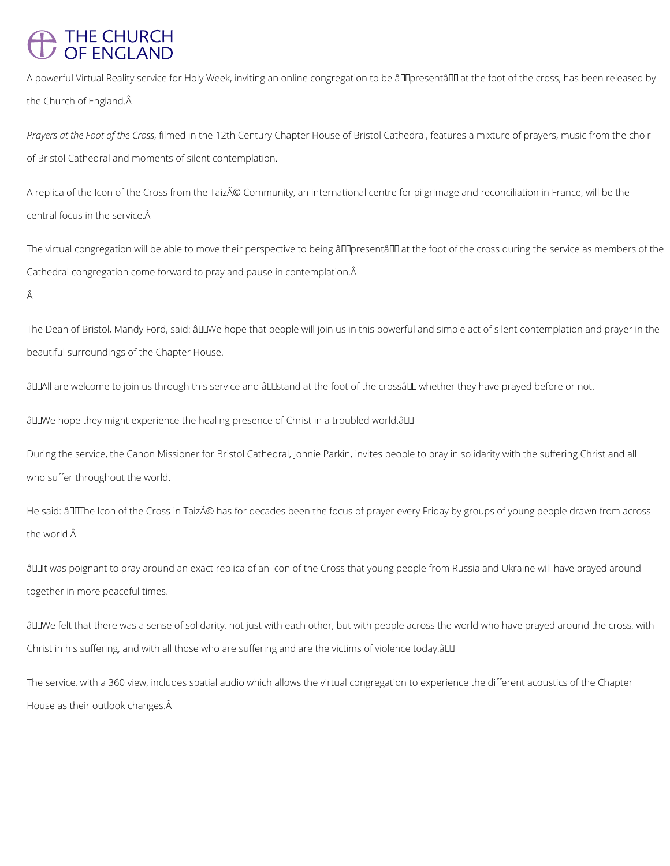## THE CHURCH<br>OF ENGLAND

A powerful Virtual Reality service for Holy Week, inviting an online congregation to be âll presentâ l at the foot of the cross, has been released by the Church of England.

*Prayers at the Foot of the Cross*, filmed in the 12th Century Chapter House of Bristol Cathedral, features a mixture of prayers, music from the choir of Bristol Cathedral and moments of silent contemplation.

A replica of the Icon of the Cross from the Taizé Community, an international centre for pilgrimage and reconciliation in France, will be the central focus in the service.

The virtual congregation will be able to move their perspective to being âDDpresentâDD at the foot of the cross during the service as members of the Cathedral congregation come forward to pray and pause in contemplation.

Â

The Dean of Bristol, Mandy Ford, said: âDDWe hope that people will join us in this powerful and simple act of silent contemplation and prayer in the beautiful surroundings of the Chapter House.

âDDAII are welcome to join us through this service and âDDstand at the foot of the crossâDD whether they have prayed before or not.

âDDWe hope they might experience the healing presence of Christ in a troubled world.âDD

âDDIt was poignant to pray around an exact replica of an Icon of the Cross that young people from Russia and Ukraine will have prayed around together in more peaceful times.

âDDWe felt that there was a sense of solidarity, not just with each other, but with people across the world who have prayed around the cross, with

Christ in his suffering, and with all those who are suffering and are the victims of violence today.âDD

During the service, the Canon Missioner for Bristol Cathedral, Jonnie Parkin, invites people to pray in solidarity with the suffering Christ and all who suffer throughout the world.

He said: âDDThe Icon of the Cross in Taizé has for decades been the focus of prayer every Friday by groups of young people drawn from across the world. $\hat{A}$ 

The service, with a 360 view, includes spatial audio which allows the virtual congregation to experience the different acoustics of the Chapter

House as their outlook changes.